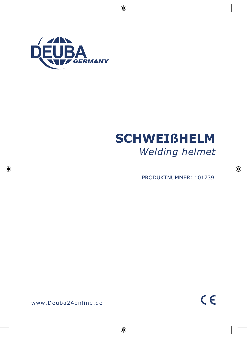

◈

◈

# **SCHWEIßHELM** *Welding helmet*

PRODUKTNUMMER: 101739

◈

www.Deuba24online.de

◈

 $C \in$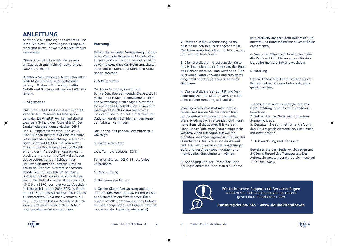## **ANLEITUNG**

Achten Sie auf Ihre eigene Sicherheit und lesen Sie diese Bedienungsanleitung aufmerksam durch, bevor Sie dieses Produkt verwenden.

Dieses Produkt ist nur für den privaten Gebrauch und nicht für gewerbliche Nutzung geeignet.

Beachten Sie unbedingt, beim Schweißen besteht eine Brand- und Explosionsgefahr, z.B. durch Funkenflug, heiße Metall- und Schlacketeilchen und Wärmeleitung.

#### 1. Allgemeines

◈

Das Lichtventil (LCD) in diesem Produkt kann in dem Moment des Überspringens der Elektrizität von hell auf dunkel wechseln (Prinzip der Fotoelektrik). Der Dunkelheitsgrad kann zwischen DIN9 und 13 eingestellt werden. Der UV-IR Filter- Einbau besteht aus Glas mit einer reflektierenden Beschichtung, vielschichtigen Lichtventil (LCD) und Polarisator. Er kann das Durchlassen der UV-Strahlen und der Infrarot-Strahlung wirksam blockieren, und somit effektiv die Augen des Arbeiters vor den Schäden der UV-Strahlen und den Infrarot-Strahlen schützen. Der sich automatisch verdunkelnde Schweißschutzhelm hat einen breiteren Schutz als ein herkömmlicher Helm. Der Betriebstemperaturbereich ist -5°C bis +55°C, der relative Luftfeuchtigkeitsbereich liegt bei 20%-80%. Außerhalb der Daten des Betriebsklimas kann es zu inkorrekten Funktionen kommen, die evtl. Unsicherheiten im Betrieb nach sich ziehen und somit keine sichere Arbeit mehr gewährleistet werden kann.

### **Warnung!**

Testen Sie vor jeder Verwendung die Batterie. Wenn die Batterie nicht mehr über ausreichend viel Ladung verfügt ist nicht gewährleistet, dass der Helm umschalten kann und es kann zu gefährlichen Situationen kommen.

2. Arbeitsprinzip

Der Helm kann die, durch das Schweißen, überspringende Elektrizität in Elektronische Signale umwandeln. Nach der Auswertung dieser Signale, werden sie and den LCD betriebenen Stromkreis weitergeleitet. Das darin befindliche Lichtventil stellt von hell auf dunkel um. Dadurch werden Schäden an den Augen der Arbeiter verhindert.

Das Prinzip des ganzen Stromkreises is wie folgt:

3. Technische Daten

Licht Ton: Licht Status: DIN4

Schatten Status: DIN9-13 (stufenlos verstellbar)

- 4. Beschreibung
- 5. Bedienungsanleitung

1. Öffnen Sie die Verpackung und nehmen Sie den Helm heraus. Entfernen Sie den Schutzfilm am Sichtfenster. Überprüfen Sie alle Komponenten des Helmes auf Beschädigungen (die Lithium Batterie wurde vor der Lieferung eingesetzt)

2. Passen Sie die Bebänderung so an, dass es für den Benutzer angenehm ist. Der Helm muss fest sitzen, nicht rutschen, darf aber nicht drücken.

3. Die verstellbaren Knöpfe an der Seite des Helmes dienen der Änderung der Enge des Helmes beim An- und Ausziehen. Der Blickwinkel kann vorwärts und rückwärts eingestellt werden, je nach Bedarf des Benutzers.

4. Die verstellbare Sensibilität und Verzögerungszeit des Sichtfensters ermöglichen es dem Benutzer, sich auf die

jeweiligen Arbeitsverhältnisse einzustellen. Reduzieren Sie die Sensibilität um Beeinträchtigungen zu vermeiden. Wenn Niedrigstrom verwendet wird, kann hohe Sensibilität ausgewählt werden. Hohe Sensibilität muss jedoch eingestellt werden, wenn Sie Argon-Schweißen möchten. Verzögerungszeit ist die Zeit des Umschaltens des Filters von dunkel auf hell. Der Benutzer kann die Einstellungen aufgrund der Arbeitsbedingungen und individuellen Gewohnheiten wählen.

5. Abhänging von der Stärke der Übersprungselektrizität kann man die Knöpfe so einstellen, dass sie dem Bedarf des Benutzers und unterschiedlichen Lichtstärken entsprechen.

6. Wenn der Filter nicht funktioniert oder die Zahl der Lichtstärken ausser Betrieb ist, sollte man die Batterie wechseln.

6. Wartung

Um die Lebenszeit dieses Gerätes zu verlängern sollten Sie den Helm ordnungsgemäß warten.

1. Lassen Sie keine Feuchtigkeit in das Gerät eindringen um es vor Schaden zu bewahren.

2. Setzen Sie das Gerät nicht direktem Sonnenlicht aus.

3. Benutzen Sie symmetrische Kraft um den Elektrograph einzustellen. Bitte nicht mit Kraft drehen.

7. Aufbewahrung und Transport

Bewahren sie das Gerät vor Schlägen und Stößen während des Transportes. Der Aufbewahrungstemperaturbereich liegt bei  $+5$ °C bis  $+50$ °C.



Für technischen Support und Serviceanfragen wenden Sie sich vertrauensvoll an unsere geschulten Mitarbeiter unter

**kontakt@deuba.info - www.deuba24online.de**

www.Deuba24online.de | 2 3 | www.Deuba24online.de



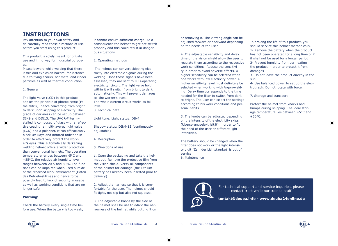## **INSTRUCTIONS**

Pay attention to your own safety and do carefully read those directions of use before you start using this product.

This product is solely meant for private use and in no way for industrial purposes.

Please beware while welding that there is fire and explosion hazard, for instance due to flying sparks, hot metal and cinder particles as well as thermal conduction.

### 1. General

◈

The light valve (LCD) in this product applies the principle of photoelectric (Fotoelektrik), hence converting from bright to dark upon skipping of electricity. The grade of darkness can be set up between DIN9 and DIN13. The UV-IR-Filter installed is composed of glass with a reflective coating, a multi-layered light valve (LCD) and a polarizer. It can efficaciously block UV-Rays and infrared radiation in order to effectively protect the worker's eyes. This automatically darkening welding helmet offers a wider protection than conventional helmets. The operating temperature ranges between -5°C and +55°C, the relative air humidity level ranges between 20% and 80%. The functions can be impaired when used outside of the recorded work environment (Daten des Betriebesklima) and hence force possibly lead to lack of security in usage as well as working conditions that are no longer safe.

#### **Warning!**

Check the battery every single time before use. When the battery is too weak, it cannot ensure sufficient charge. As a consequence the helmet might not switch properly and this could result in dangerous situations.

2. Operating methods

 The helmet can convert skipping electricity into electronic signals during the welding. Once those signals have been assessed, they are sent to LCD-operating electricity circuit. The light valve hold within it will switch from bright to dark automatically. This will prevent damages to the worker's eyes. The whole current circuit works as follows:

3. Technical data

Light tone: Light status: DIN4

Shadow status: DIN9-13 (continuously adjustable)

4. Description

5. Directions of use

1. Open the packaging and take the helmet out. Remove the protective film from the vision shield. Verify all components of the helmet for damage (the Lithium battery has already been inserted prior to delivery).

2. Adjust the harness so that it is comfortable for the user. The helmet should fit tight, not slip but also not squeeze.

3. The adjustable knobs by the side of the helmet shall be use to adapt the narrowness of the helmet while putting it on

or removing it. The viewing angle can be adjusted forward or backward depending on the needs of the user.

4. The adjustable sensitivity and delay time of the vision shield allow the user to regulate them according to the respective work conditions. Reduce the sensitivity in order to avoid adverse effects. A higher sensitivity can be selected when one works with low electricity power. A higher sensitivity level must definitely be selected when working with Argon-welding. Delay time corresponds to the time needed for the filter to switch from dark to bright. The user can select the settings according to his work conditions and personal habits.

5. The knobs can be adjusted depending on the intensity of the electricity skips (Übersprungselektrizität) in order to fit the need of the user or different light intensities.

The battery should be changed when the filter does not work or the light intensity digit (Zahl der Lichtstaerke) is out of service 6. Maintenance

To prolong the life of this product, you should service this helmet methodically. 1- Remove the battery when the product has not been operated for a long time or if it shall not be used for a longer period. 2- Prevent humidity from permeating the product in order to protect it from damages

3- Do not leave the product directly in the sun

4- Use balanced power to set up the electrograph. Do not rotate with force.

7. Storage and transport

Protect the helmet from knocks and bumps during shipping. The ideal storage temperature lies between +5°C and  $+50$ °C.

For technical support and service inquiries, please contact trust while our trained staff

**kontakt@deuba.info - www.deuba24online.de**



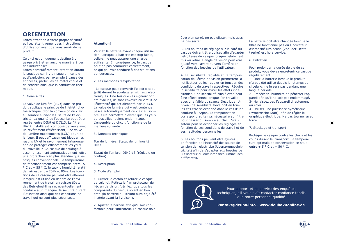## **ORIENTATION**

Faites attention à votre propre sécurité et lisez attentivement ces instructions d'utilisation avant de vous servir de ce produit.

Celui-ci est uniquement destiné à un usage privé et en aucune manière à des fins industrielles. Faites particulièrement attention durant

le soudage car il y a risque d incendie et d'explosion, par exemple à cause des étincelles, particules de métal chaud et de cendres ainsi que la conduction thermique.

### 1. Généralités

◈

La valve de lumière (LCD) dans ce produit applique le principe de l l'effet photoélectrique, d'où la conversion du clair au sombre suivant les sauts de l'électricité. La qualité de l'obscurité peut être réglée entre DIN9 et DIN13. Le filtre UV-IR installé est composé de verre avec un revêtement réfléchissant, une valve de lumière multicouches (LCD) et un polariseur. Il peut efficacement bloquer les rayons UV et le rayonnement infrarouge afin de protéger efficacement les yeux du travailleur. Ce casque de soudage à assombrissement automatiquement offre une protection bien plus étendue que les casques conventionnels. La température de fonctionnement est comprise entre -5 ° C et + 55 ° C, le taux d'humidité relatif de l'air est entre 20% et 80%. Les fonctions de ce casque peuvent être altérées lorsqu'il est utilisé en dehors de l'environnement de travail enregistré (Daten des Betriebesklima) et éventuellement conduire à un manque de sécurité durant l'utilisation ainsi que des conditions de travail qui ne sont plus sécurisées.

### **Attention!**

Vérifiez la batterie avant chaque utilisation. Lorsque la batterie est trop faible, celle-ci ne peut assurer une charge suffisante. En conséquence, le casque peut ne pas commuter correctement, ce qui pourrait conduire à des situations dangereuses.

2. Les méthodes d'exploitation

 Le casque peut convertir l'électricité qui jaillit durant le soudage en signaux électroniques. Une fois que ces signaux ont été évalués, ils sont envoyés au circuit de l'électricité qui est alimenté par le LCD. La valve de lumière qui y est contenue passe automatiquement du clair au sombre. Cela permettra d'éviter que les yeux du travailleur soient endommagés. L'ensemble du circuit fonctionne de la manière suivante:

3. Données techniques

Ton de lumière: Statut de luminosité: DIN4

Statut de l'ombre: DIN9-13 (réglable en continu)

4. Description

#### 5. Mode d'emploi

1. Ouvrez le carton et retirer le casque de celui-ci. Retirez le film protecteur de l'écran de vision. Vérifiez que tous les composants du casque soient en bon état (la batterie au lithium aura déjà été insérée avant la livraison).

2. Ajuster le harnais afin qu'il soit confortable pour l'utilisateur. Le casque doit

www.Deuba24online.de | 6 7 | www.Deuba24online.de

être bien serré, ne pas glisser, mais aussi ne pas serrer.

3. Les boutons de réglage sur le côté du casque doivent être utilisés afin d'adapter l'étroitesse du casque lorsque celui-ci est mis ou retiré. L'angle de vision peut être ajusté vers l'avant ou vers l'arrière en fonction des besoins de l'utilisateur.

4. La sensibilité réglable et la temporisation de l'écran de vision permettent à l'utilisateur de les réguler en fonction des conditions de travail respectives. Réduire la sensibilité pour éviter les effets indésirables. Une sensibilité plus élevée peut être sélectionnée lorsque l'on travaille avec une faible puissance électrique. Un niveau de sensibilité élevé doit en tous les cas être sélectionné dans le cas d'une soudure à l Argon. La temporisation correspond au temps nécessaire au filtre pour passer du sombre au clair. L'utilisateur peut sélectionner les réglages en fonction de ses conditions de travail et de ses habitudes personnelles.

5. Les boutons peuvent être ajustés en fonction de l'intensité des sautes de tension de l'électricité (Übersprungselektrizität) afin de s'adapter aux besoins de l'utilisateur ou aux intensités lumineuses différentes.

La batterie doit être changée lorsque le filtre ne fonctionne pas ou l'indicateur d'intensité lumineuse (Zahl der Lichtstaerke) est hors service.

#### 6. Entretien

Pour prolonger la durée de vie de ce produit, vous devez entretenir ce casque régulièrement.

- 1- Ôtez la batterie lorsque le produit n'a pas été utilisé depuis longtemps ou si celui-ci ne le sera pas pendant une longue période.
- 2- Empêcher l'humidité de pénétrer l'appareil afin qu'il ne soit pas endommagé. 3- Ne laissez pas l'appareil directement au soleil
- 4- Utilisez une puissance symétrique (symetrische Kraft) afin de régler le graphique électrique. Ne pas tourner avec force.

#### 7. Stockage et transport

Protégez le casque contre les chocs et les coups durant le transport. La température optimale de conservation se situe entre +  $5 \degree$  C et +  $50 \degree$  C.



Pour support et de service des enquêtes techniques, s'il vous plaît contacter confiance tandis que notre personnel qualifié

**kontakt@deuba.info - www.deuba24online.de**



 $\bigoplus$ 

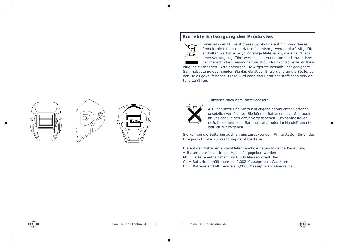$\circledcirc$ 







## **Korrekte Entsorgung des Produktes**



 $\circledast$ 

Innerhalb der EU weist dieses Symbol darauf hin, dass dieses Produkt nicht über den Hausmüll entsorgt werden darf. Altgeräte enthalten wertvolle recyclingfähige Materialien, die einer Wiederverwertung zugeführt werden sollten und um der Umwelt bzw.

der menschlichen Gesundheit nicht durch unkontrollierte Müllbeseitigung zu schaden. Bitte entsorgen Sie Altgeräte deshalb über geeignete Sammelsysteme oder senden Sie das Gerät zur Entsorgung an die Stelle, bei der Sie es gekauft haben. Diese wird dann das Gerät der stofflichen Verwertung zuführen.



"Hinweise nach dem Batteriegesetz

Als Endnutzer sind Sie zur Rückgabe gebrauchter Batterien gesetzlich verpflichtet. Sie können Batterien nach Gebrauch an uns oder in den dafür vorgesehenen Rücknahmestellen (z.B. in kommunalen Sammelstellen oder im Handel) unentgeltlich zurückgeben

Sie können die Batterien auch an uns zurücksenden. Wir erstatten Ihnen das Briefporto für die Rücksendung der Altbatterie.

Die auf den Batterien abgebildeten Symbole haben folgende Bedeutung: = Batterie darf nicht in den Hausmüll gegeben werden Pb = Batterie enthält mehr als 0,004 Masseprozent Blei

Cd = Batterie enthält mehr als 0,002 Masseprozent Cadmium

Hg = Batterie enthält mehr als 0,0005 Masseprozent Quecksilber."

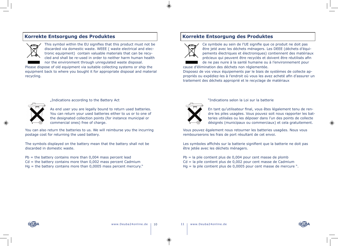## **Korrekte Entsorgung des Produktes**



This symbol within the EU signifies that this product must not be discarded via domestic waste. WEEE ( waste electrical and electronic equipment) contain valuable materials that can be recycled and shall be re-used in order to neither harm human health nor the environment through unregulated waste disposal.

Please dispose of old equipment via suitable collecting systems or ship the equipment back to where you bought it for appropriate disposal and material recycling.

## **Korrekte Entsorgung des Produktes**



Ce symbole au sein de l'UE signifie que ce produit ne doit pas être jeté avec les déchets ménagers. Les DEEE (déchets d'équipements électriques et électroniques) contiennent des matériaux précieux qui peuvent être recyclés et doivent être réutilisés afin de ne pas nuire à la santé humaine ou à l'environnement pour

cause d'élimination des déchets non réglementée.

Disposez de vos vieux équipements par le biais de systèmes de collecte appropriés ou expédiez-les à l'endroit où vous les avez acheté afin d'assurer un traitement des déchets approprié et le recyclage de matériaux



"Indications according to the Battery Act

As end user you are legally bound to return used batteries. You can return your used batteries either to us or to one of the designated collection points (for instance municipal or commercial ones) free of charge.

You can also return the batteries to us. We will reimburse you the incurring postage cost for returning the used battery.

The symbols displayed on the battery mean that the battery shall not be discarded in domestic waste.

 $Pb =$  the battery contains more than 0,004 mass percent lead

- $Cd = the battery contains more than 0,002 mass percent Cadmium$
- $Hg =$  the battery contains more than 0,0005 mass percent mercury."



"Indications selon la Loi sur la batterie

En tant qu'utilisateur final, vous êtes légalement tenu de rendre les piles usagées. Vous pouvez soit nous rapporter les batteries utilisées ou les déposer dans l'un des points de collecte désignés (municipaux ou commerciaux) et cela gratuitement.

Vous pouvez également nous retourner les batteries usagées. Nous vous rembourserons les frais de port résultant de cet envoi.

Les symboles affichés sur la batterie signifient que la batterie ne doit pas être jetée avec les déchets ménagers.

 $Pb =$  la pile contient plus de 0,004 pour cent masse de plomb Cd = la pile contient plus de 0,002 pour cent masse de Cadmium Hg = la pile contient plus de 0,0005 pour cent masse de mercure ".





⊕